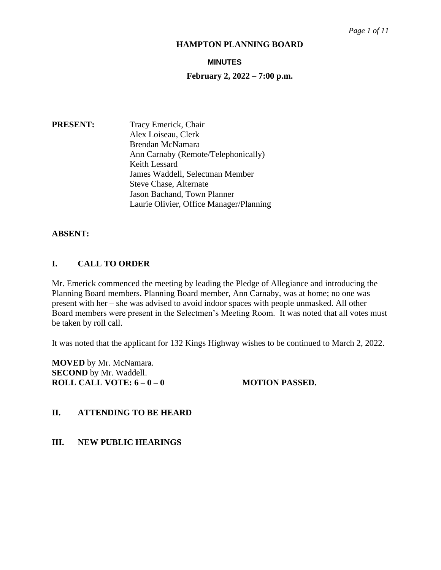#### **MINUTES**

### **February 2, 2022 – 7:00 p.m.**

**PRESENT:** Tracy Emerick, Chair Alex Loiseau, Clerk Brendan McNamara Ann Carnaby (Remote/Telephonically) Keith Lessard James Waddell, Selectman Member Steve Chase, Alternate Jason Bachand, Town Planner Laurie Olivier, Office Manager/Planning

### **ABSENT:**

# **I. CALL TO ORDER**

Mr. Emerick commenced the meeting by leading the Pledge of Allegiance and introducing the Planning Board members. Planning Board member, Ann Carnaby, was at home; no one was present with her – she was advised to avoid indoor spaces with people unmasked. All other Board members were present in the Selectmen's Meeting Room. It was noted that all votes must be taken by roll call.

It was noted that the applicant for 132 Kings Highway wishes to be continued to March 2, 2022.

**MOVED** by Mr. McNamara. **SECOND** by Mr. Waddell. **ROLL CALL VOTE:**  $6-0-0$  **MOTION PASSED.** 

#### **II. ATTENDING TO BE HEARD**

**III. NEW PUBLIC HEARINGS**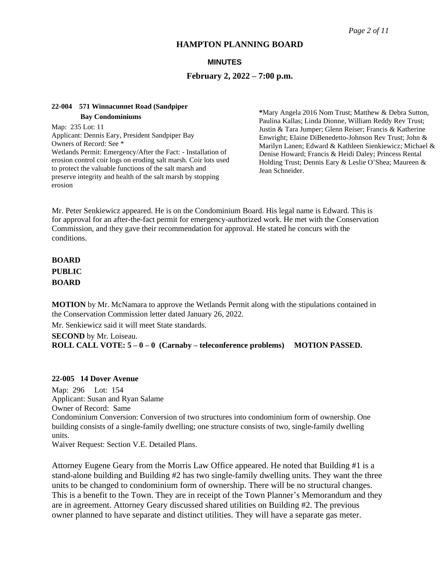#### **MINUTES**

#### **February 2, 2022 – 7:00 p.m.**

#### **22-004 571 Winnacunnet Road (Sandpiper Bay Condominiums**

Map: 235 Lot: 11 Applicant: Dennis Eary, President Sandpiper Bay Owners of Record: See \* Wetlands Permit: Emergency/After the Fact: - Installation of erosion control coir logs on eroding salt marsh. Coir lots used to protect the valuable functions of the salt marsh and preserve integrity and health of the salt marsh by stopping erosion

**\***Mary Angela 2016 Nom Trust; Matthew & Debra Sutton, Paulina Kallas; Linda Dionne, William Reddy Rev Trust; Justin & Tara Jumper; Glenn Reiser; Francis & Katherine Enwright; Elaine DiBenedetto-Johnson Rev Trust; John & Marilyn Lanen; Edward & Kathleen Sienkiewicz; Michael & Denise Howard; Francis & Heidi Daley; Princess Rental Holding Trust; Dennis Eary & Leslie O'Shea; Maureen & Jean Schneider.

Mr. Peter Senkiewicz appeared. He is on the Condominium Board. His legal name is Edward. This is for approval for an after-the-fact permit for emergency-authorized work. He met with the Conservation Commission, and they gave their recommendation for approval. He stated he concurs with the conditions.

# **BOARD PUBLIC BOARD**

**MOTION** by Mr. McNamara to approve the Wetlands Permit along with the stipulations contained in the Conservation Commission letter dated January 26, 2022.

Mr. Senkiewicz said it will meet State standards.

**SECOND** by Mr. Loiseau. **ROLL CALL VOTE: 5 – 0 – 0 (Carnaby – teleconference problems) MOTION PASSED.** 

#### **22-005 14 Dover Avenue**

Map: 296 Lot: 154 Applicant: Susan and Ryan Salame Owner of Record: Same Condominium Conversion: Conversion of two structures into condominium form of ownership. One building consists of a single-family dwelling; one structure consists of two, single-family dwelling units.

Waiver Request: Section V.E. Detailed Plans.

Attorney Eugene Geary from the Morris Law Office appeared. He noted that Building #1 is a stand-alone building and Building #2 has two single-family dwelling units. They want the three units to be changed to condominium form of ownership. There will be no structural changes. This is a benefit to the Town. They are in receipt of the Town Planner's Memorandum and they are in agreement. Attorney Geary discussed shared utilities on Building #2. The previous owner planned to have separate and distinct utilities. They will have a separate gas meter.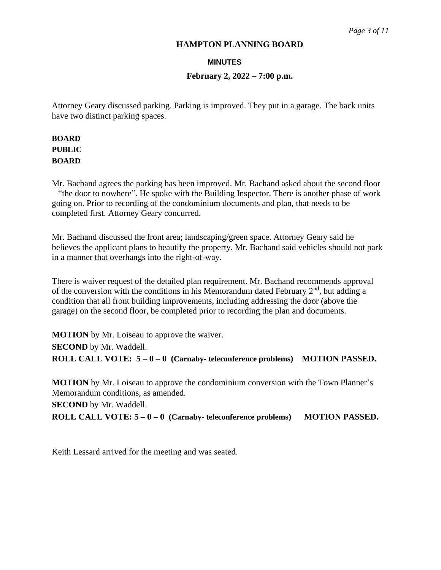#### **MINUTES**

#### **February 2, 2022 – 7:00 p.m.**

Attorney Geary discussed parking. Parking is improved. They put in a garage. The back units have two distinct parking spaces.

# **BOARD PUBLIC BOARD**

Mr. Bachand agrees the parking has been improved. Mr. Bachand asked about the second floor – "the door to nowhere". He spoke with the Building Inspector. There is another phase of work going on. Prior to recording of the condominium documents and plan, that needs to be completed first. Attorney Geary concurred.

Mr. Bachand discussed the front area; landscaping/green space. Attorney Geary said he believes the applicant plans to beautify the property. Mr. Bachand said vehicles should not park in a manner that overhangs into the right-of-way.

There is waiver request of the detailed plan requirement. Mr. Bachand recommends approval of the conversion with the conditions in his Memorandum dated February  $2<sup>nd</sup>$ , but adding a condition that all front building improvements, including addressing the door (above the garage) on the second floor, be completed prior to recording the plan and documents.

**MOTION** by Mr. Loiseau to approve the waiver. **SECOND** by Mr. Waddell. **ROLL CALL VOTE: 5 – 0 – 0 (Carnaby- teleconference problems) MOTION PASSED.**

**MOTION** by Mr. Loiseau to approve the condominium conversion with the Town Planner's Memorandum conditions, as amended.

**SECOND** by Mr. Waddell.

**ROLL CALL VOTE: 5 – 0 – 0 (Carnaby- teleconference problems) MOTION PASSED.**

Keith Lessard arrived for the meeting and was seated.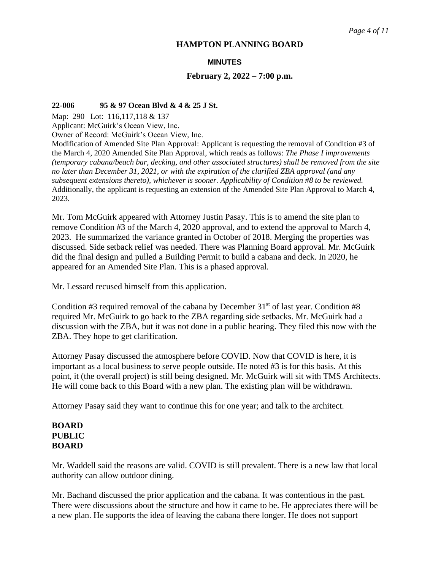#### **MINUTES**

#### **February 2, 2022 – 7:00 p.m.**

#### **22-006 95 & 97 Ocean Blvd & 4 & 25 J St.**

Map: 290 Lot: 116,117,118 & 137

Applicant: McGuirk's Ocean View, Inc.

Owner of Record: McGuirk's Ocean View, Inc.

Modification of Amended Site Plan Approval: Applicant is requesting the removal of Condition #3 of the March 4, 2020 Amended Site Plan Approval, which reads as follows: *The Phase I improvements (temporary cabana/beach bar, decking, and other associated structures) shall be removed from the site no later than December 31, 2021, or with the expiration of the clarified ZBA approval (and any subsequent extensions thereto), whichever is sooner. Applicability of Condition #8 to be reviewed.* Additionally, the applicant is requesting an extension of the Amended Site Plan Approval to March 4, 2023.

Mr. Tom McGuirk appeared with Attorney Justin Pasay. This is to amend the site plan to remove Condition #3 of the March 4, 2020 approval, and to extend the approval to March 4, 2023. He summarized the variance granted in October of 2018. Merging the properties was discussed. Side setback relief was needed. There was Planning Board approval. Mr. McGuirk did the final design and pulled a Building Permit to build a cabana and deck. In 2020, he appeared for an Amended Site Plan. This is a phased approval.

Mr. Lessard recused himself from this application.

Condition  $#3$  required removal of the cabana by December  $31<sup>st</sup>$  of last year. Condition  $#8$ required Mr. McGuirk to go back to the ZBA regarding side setbacks. Mr. McGuirk had a discussion with the ZBA, but it was not done in a public hearing. They filed this now with the ZBA. They hope to get clarification.

Attorney Pasay discussed the atmosphere before COVID. Now that COVID is here, it is important as a local business to serve people outside. He noted #3 is for this basis. At this point, it (the overall project) is still being designed. Mr. McGuirk will sit with TMS Architects. He will come back to this Board with a new plan. The existing plan will be withdrawn.

Attorney Pasay said they want to continue this for one year; and talk to the architect.

# **BOARD PUBLIC BOARD**

Mr. Waddell said the reasons are valid. COVID is still prevalent. There is a new law that local authority can allow outdoor dining.

Mr. Bachand discussed the prior application and the cabana. It was contentious in the past. There were discussions about the structure and how it came to be. He appreciates there will be a new plan. He supports the idea of leaving the cabana there longer. He does not support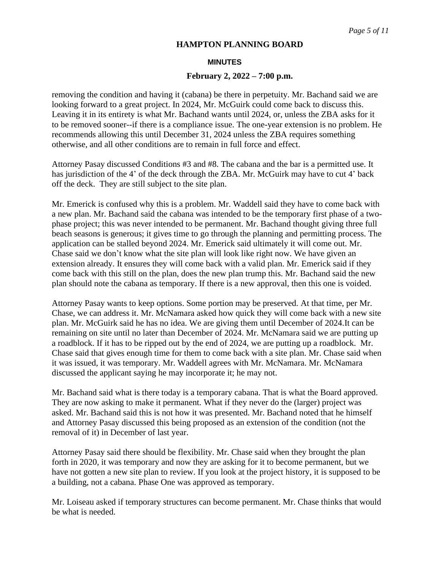#### **MINUTES**

#### **February 2, 2022 – 7:00 p.m.**

removing the condition and having it (cabana) be there in perpetuity. Mr. Bachand said we are looking forward to a great project. In 2024, Mr. McGuirk could come back to discuss this. Leaving it in its entirety is what Mr. Bachand wants until 2024, or, unless the ZBA asks for it to be removed sooner--if there is a compliance issue. The one-year extension is no problem. He recommends allowing this until December 31, 2024 unless the ZBA requires something otherwise, and all other conditions are to remain in full force and effect.

Attorney Pasay discussed Conditions #3 and #8. The cabana and the bar is a permitted use. It has jurisdiction of the 4' of the deck through the ZBA. Mr. McGuirk may have to cut 4' back off the deck. They are still subject to the site plan.

Mr. Emerick is confused why this is a problem. Mr. Waddell said they have to come back with a new plan. Mr. Bachand said the cabana was intended to be the temporary first phase of a twophase project; this was never intended to be permanent. Mr. Bachand thought giving three full beach seasons is generous; it gives time to go through the planning and permitting process. The application can be stalled beyond 2024. Mr. Emerick said ultimately it will come out. Mr. Chase said we don't know what the site plan will look like right now. We have given an extension already. It ensures they will come back with a valid plan. Mr. Emerick said if they come back with this still on the plan, does the new plan trump this. Mr. Bachand said the new plan should note the cabana as temporary. If there is a new approval, then this one is voided.

Attorney Pasay wants to keep options. Some portion may be preserved. At that time, per Mr. Chase, we can address it. Mr. McNamara asked how quick they will come back with a new site plan. Mr. McGuirk said he has no idea. We are giving them until December of 2024.It can be remaining on site until no later than December of 2024. Mr. McNamara said we are putting up a roadblock. If it has to be ripped out by the end of 2024, we are putting up a roadblock. Mr. Chase said that gives enough time for them to come back with a site plan. Mr. Chase said when it was issued, it was temporary. Mr. Waddell agrees with Mr. McNamara. Mr. McNamara discussed the applicant saying he may incorporate it; he may not.

Mr. Bachand said what is there today is a temporary cabana. That is what the Board approved. They are now asking to make it permanent. What if they never do the (larger) project was asked. Mr. Bachand said this is not how it was presented. Mr. Bachand noted that he himself and Attorney Pasay discussed this being proposed as an extension of the condition (not the removal of it) in December of last year.

Attorney Pasay said there should be flexibility. Mr. Chase said when they brought the plan forth in 2020, it was temporary and now they are asking for it to become permanent, but we have not gotten a new site plan to review. If you look at the project history, it is supposed to be a building, not a cabana. Phase One was approved as temporary.

Mr. Loiseau asked if temporary structures can become permanent. Mr. Chase thinks that would be what is needed.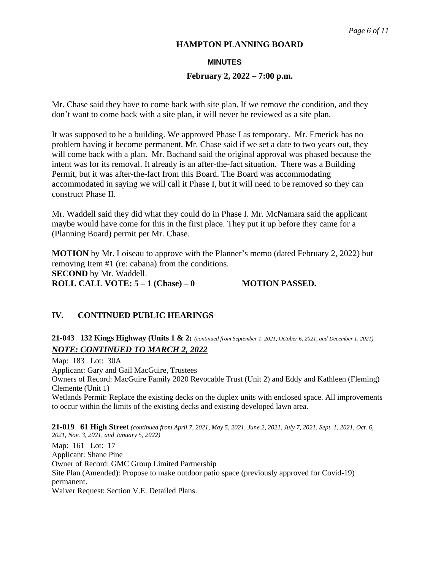#### **MINUTES**

#### **February 2, 2022 – 7:00 p.m.**

Mr. Chase said they have to come back with site plan. If we remove the condition, and they don't want to come back with a site plan, it will never be reviewed as a site plan.

It was supposed to be a building. We approved Phase I as temporary. Mr. Emerick has no problem having it become permanent. Mr. Chase said if we set a date to two years out, they will come back with a plan. Mr. Bachand said the original approval was phased because the intent was for its removal. It already is an after-the-fact situation. There was a Building Permit, but it was after-the-fact from this Board. The Board was accommodating accommodated in saying we will call it Phase I, but it will need to be removed so they can construct Phase II.

Mr. Waddell said they did what they could do in Phase I. Mr. McNamara said the applicant maybe would have come for this in the first place. They put it up before they came for a (Planning Board) permit per Mr. Chase.

**MOTION** by Mr. Loiseau to approve with the Planner's memo (dated February 2, 2022) but removing Item #1 (re: cabana) from the conditions. **SECOND** by Mr. Waddell. **ROLL CALL VOTE: 5 – 1 (Chase) – 0 MOTION PASSED.**

#### **IV. CONTINUED PUBLIC HEARINGS**

# **21-043 132 Kings Highway (Units 1 & 2)** *(continued from September 1, 2021, October 6, 2021, and December 1, 2021) NOTE: CONTINUED TO MARCH 2, 2022*

Map: 183 Lot: 30A Applicant: Gary and Gail MacGuire, Trustees Owners of Record: MacGuire Family 2020 Revocable Trust (Unit 2) and Eddy and Kathleen (Fleming) Clemente (Unit 1) Wetlands Permit: Replace the existing decks on the duplex units with enclosed space. All improvements to occur within the limits of the existing decks and existing developed lawn area.

**21-019 61 High Street** *(continued from April 7, 2021, May 5, 2021, June 2, 2021, July 7, 2021, Sept. 1, 2021, Oct. 6, 2021, Nov. 3, 2021, and January 5, 2022)* Map: 161 Lot: 17 Applicant: Shane Pine Owner of Record: GMC Group Limited Partnership Site Plan (Amended): Propose to make outdoor patio space (previously approved for Covid-19) permanent. Waiver Request: Section V.E. Detailed Plans.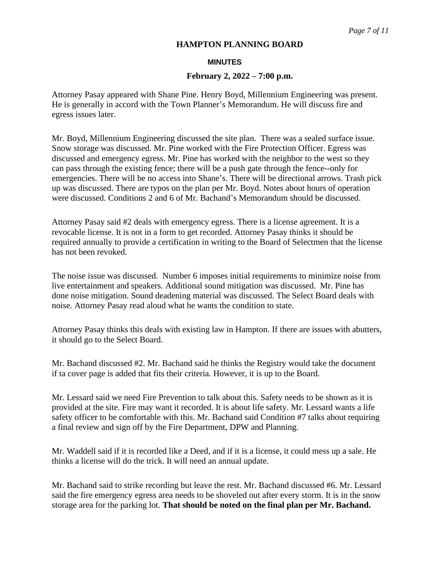#### **MINUTES**

#### **February 2, 2022 – 7:00 p.m.**

Attorney Pasay appeared with Shane Pine. Henry Boyd, Millennium Engineering was present. He is generally in accord with the Town Planner's Memorandum. He will discuss fire and egress issues later.

Mr. Boyd, Millennium Engineering discussed the site plan. There was a sealed surface issue. Snow storage was discussed. Mr. Pine worked with the Fire Protection Officer. Egress was discussed and emergency egress. Mr. Pine has worked with the neighbor to the west so they can pass through the existing fence; there will be a push gate through the fence--only for emergencies. There will be no access into Shane's. There will be directional arrows. Trash pick up was discussed. There are typos on the plan per Mr. Boyd. Notes about hours of operation were discussed. Conditions 2 and 6 of Mr. Bachand's Memorandum should be discussed.

Attorney Pasay said #2 deals with emergency egress. There is a license agreement. It is a revocable license. It is not in a form to get recorded. Attorney Pasay thinks it should be required annually to provide a certification in writing to the Board of Selectmen that the license has not been revoked.

The noise issue was discussed. Number 6 imposes initial requirements to minimize noise from live entertainment and speakers. Additional sound mitigation was discussed. Mr. Pine has done noise mitigation. Sound deadening material was discussed. The Select Board deals with noise. Attorney Pasay read aloud what he wants the condition to state.

Attorney Pasay thinks this deals with existing law in Hampton. If there are issues with abutters, it should go to the Select Board.

Mr. Bachand discussed #2. Mr. Bachand said he thinks the Registry would take the document if ta cover page is added that fits their criteria. However, it is up to the Board.

Mr. Lessard said we need Fire Prevention to talk about this. Safety needs to be shown as it is provided at the site. Fire may want it recorded. It is about life safety. Mr. Lessard wants a life safety officer to be comfortable with this. Mr. Bachand said Condition #7 talks about requiring a final review and sign off by the Fire Department, DPW and Planning.

Mr. Waddell said if it is recorded like a Deed, and if it is a license, it could mess up a sale. He thinks a license will do the trick. It will need an annual update.

Mr. Bachand said to strike recording but leave the rest. Mr. Bachand discussed #6. Mr. Lessard said the fire emergency egress area needs to be shoveled out after every storm. It is in the snow storage area for the parking lot. **That should be noted on the final plan per Mr. Bachand.**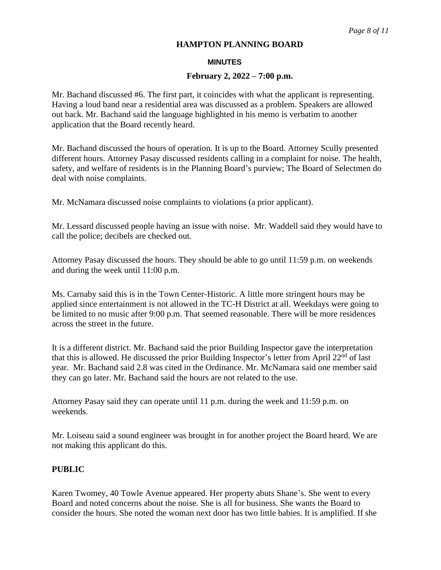#### **MINUTES**

#### **February 2, 2022 – 7:00 p.m.**

Mr. Bachand discussed #6. The first part, it coincides with what the applicant is representing. Having a loud band near a residential area was discussed as a problem. Speakers are allowed out back. Mr. Bachand said the language highlighted in his memo is verbatim to another application that the Board recently heard.

Mr. Bachand discussed the hours of operation. It is up to the Board. Attorney Scully presented different hours. Attorney Pasay discussed residents calling in a complaint for noise. The health, safety, and welfare of residents is in the Planning Board's purview; The Board of Selectmen do deal with noise complaints.

Mr. McNamara discussed noise complaints to violations (a prior applicant).

Mr. Lessard discussed people having an issue with noise. Mr. Waddell said they would have to call the police; decibels are checked out.

Attorney Pasay discussed the hours. They should be able to go until 11:59 p.m. on weekends and during the week until 11:00 p.m.

Ms. Carnaby said this is in the Town Center-Historic. A little more stringent hours may be applied since entertainment is not allowed in the TC-H District at all. Weekdays were going to be limited to no music after 9:00 p.m. That seemed reasonable. There will be more residences across the street in the future.

It is a different district. Mr. Bachand said the prior Building Inspector gave the interpretation that this is allowed. He discussed the prior Building Inspector's letter from April  $22<sup>nd</sup>$  of last year. Mr. Bachand said 2.8 was cited in the Ordinance. Mr. McNamara said one member said they can go later. Mr. Bachand said the hours are not related to the use.

Attorney Pasay said they can operate until 11 p.m. during the week and 11:59 p.m. on weekends.

Mr. Loiseau said a sound engineer was brought in for another project the Board heard. We are not making this applicant do this.

#### **PUBLIC**

Karen Twomey, 40 Towle Avenue appeared. Her property abuts Shane's. She went to every Board and noted concerns about the noise. She is all for business. She wants the Board to consider the hours. She noted the woman next door has two little babies. It is amplified. If she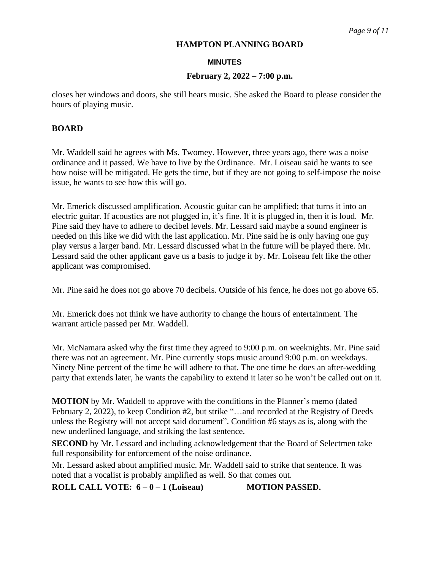#### **MINUTES**

#### **February 2, 2022 – 7:00 p.m.**

closes her windows and doors, she still hears music. She asked the Board to please consider the hours of playing music.

#### **BOARD**

Mr. Waddell said he agrees with Ms. Twomey. However, three years ago, there was a noise ordinance and it passed. We have to live by the Ordinance. Mr. Loiseau said he wants to see how noise will be mitigated. He gets the time, but if they are not going to self-impose the noise issue, he wants to see how this will go.

Mr. Emerick discussed amplification. Acoustic guitar can be amplified; that turns it into an electric guitar. If acoustics are not plugged in, it's fine. If it is plugged in, then it is loud. Mr. Pine said they have to adhere to decibel levels. Mr. Lessard said maybe a sound engineer is needed on this like we did with the last application. Mr. Pine said he is only having one guy play versus a larger band. Mr. Lessard discussed what in the future will be played there. Mr. Lessard said the other applicant gave us a basis to judge it by. Mr. Loiseau felt like the other applicant was compromised.

Mr. Pine said he does not go above 70 decibels. Outside of his fence, he does not go above 65.

Mr. Emerick does not think we have authority to change the hours of entertainment. The warrant article passed per Mr. Waddell.

Mr. McNamara asked why the first time they agreed to 9:00 p.m. on weeknights. Mr. Pine said there was not an agreement. Mr. Pine currently stops music around 9:00 p.m. on weekdays. Ninety Nine percent of the time he will adhere to that. The one time he does an after-wedding party that extends later, he wants the capability to extend it later so he won't be called out on it.

**MOTION** by Mr. Waddell to approve with the conditions in the Planner's memo (dated February 2, 2022), to keep Condition #2, but strike "…and recorded at the Registry of Deeds unless the Registry will not accept said document". Condition #6 stays as is, along with the new underlined language, and striking the last sentence.

**SECOND** by Mr. Lessard and including acknowledgement that the Board of Selectmen take full responsibility for enforcement of the noise ordinance.

Mr. Lessard asked about amplified music. Mr. Waddell said to strike that sentence. It was noted that a vocalist is probably amplified as well. So that comes out.

**ROLL CALL VOTE:**  $6-0-1$  (Loiseau) MOTION PASSED.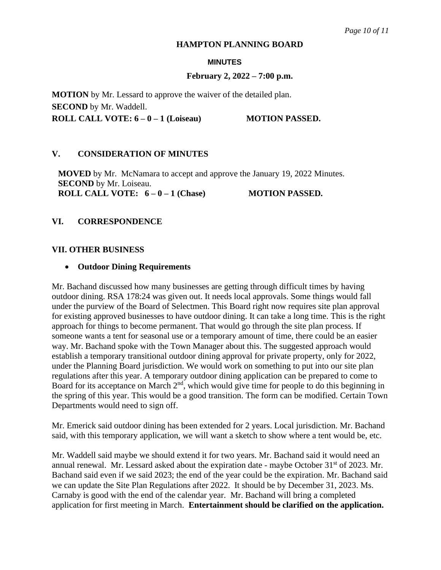#### **MINUTES**

#### **February 2, 2022 – 7:00 p.m.**

**MOTION** by Mr. Lessard to approve the waiver of the detailed plan. **SECOND** by Mr. Waddell. **ROLL CALL VOTE: 6 – 0 – 1 (Loiseau)** MOTION PASSED.

#### **V. CONSIDERATION OF MINUTES**

**MOVED** by Mr. McNamara to accept and approve the January 19, 2022 Minutes. **SECOND** by Mr. Loiseau. **ROLL CALL VOTE:**  $6-0-1$  (Chase) MOTION PASSED.

#### **VI. CORRESPONDENCE**

#### **VII. OTHER BUSINESS**

#### • **Outdoor Dining Requirements**

Mr. Bachand discussed how many businesses are getting through difficult times by having outdoor dining. RSA 178:24 was given out. It needs local approvals. Some things would fall under the purview of the Board of Selectmen. This Board right now requires site plan approval for existing approved businesses to have outdoor dining. It can take a long time. This is the right approach for things to become permanent. That would go through the site plan process. If someone wants a tent for seasonal use or a temporary amount of time, there could be an easier way. Mr. Bachand spoke with the Town Manager about this. The suggested approach would establish a temporary transitional outdoor dining approval for private property, only for 2022, under the Planning Board jurisdiction. We would work on something to put into our site plan regulations after this year. A temporary outdoor dining application can be prepared to come to Board for its acceptance on March  $2<sup>nd</sup>$ , which would give time for people to do this beginning in the spring of this year. This would be a good transition. The form can be modified. Certain Town Departments would need to sign off.

Mr. Emerick said outdoor dining has been extended for 2 years. Local jurisdiction. Mr. Bachand said, with this temporary application, we will want a sketch to show where a tent would be, etc.

Mr. Waddell said maybe we should extend it for two years. Mr. Bachand said it would need an annual renewal. Mr. Lessard asked about the expiration date - maybe October  $31<sup>st</sup>$  of 2023. Mr. Bachand said even if we said 2023; the end of the year could be the expiration. Mr. Bachand said we can update the Site Plan Regulations after 2022. It should be by December 31, 2023. Ms. Carnaby is good with the end of the calendar year. Mr. Bachand will bring a completed application for first meeting in March. **Entertainment should be clarified on the application.**